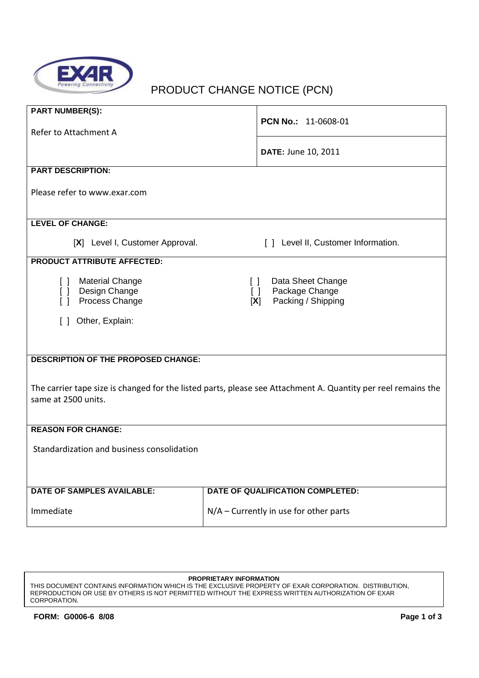

# PRODUCT CHANGE NOTICE (PCN)

| <b>PART NUMBER(S):</b>                                                                                        |                                                   |  |  |  |  |
|---------------------------------------------------------------------------------------------------------------|---------------------------------------------------|--|--|--|--|
|                                                                                                               | PCN No.: 11-0608-01                               |  |  |  |  |
|                                                                                                               |                                                   |  |  |  |  |
| Refer to Attachment A                                                                                         |                                                   |  |  |  |  |
|                                                                                                               | DATE: June 10, 2011                               |  |  |  |  |
|                                                                                                               |                                                   |  |  |  |  |
| <b>PART DESCRIPTION:</b>                                                                                      |                                                   |  |  |  |  |
|                                                                                                               |                                                   |  |  |  |  |
| Please refer to www.exar.com                                                                                  |                                                   |  |  |  |  |
|                                                                                                               |                                                   |  |  |  |  |
|                                                                                                               |                                                   |  |  |  |  |
| <b>LEVEL OF CHANGE:</b>                                                                                       |                                                   |  |  |  |  |
|                                                                                                               |                                                   |  |  |  |  |
| [X] Level I, Customer Approval.                                                                               | [ ] Level II, Customer Information.               |  |  |  |  |
| <b>PRODUCT ATTRIBUTE AFFECTED:</b>                                                                            |                                                   |  |  |  |  |
|                                                                                                               |                                                   |  |  |  |  |
| <b>Material Change</b><br>$\Box$                                                                              | Data Sheet Change<br>$\Box$                       |  |  |  |  |
| Design Change<br>$\Box$                                                                                       | Package Change<br>$\begin{bmatrix} \end{bmatrix}$ |  |  |  |  |
| Process Change<br>$\Box$                                                                                      | Packing / Shipping<br>[X]                         |  |  |  |  |
|                                                                                                               |                                                   |  |  |  |  |
| Other, Explain:<br>$\Box$                                                                                     |                                                   |  |  |  |  |
|                                                                                                               |                                                   |  |  |  |  |
|                                                                                                               |                                                   |  |  |  |  |
| <b>DESCRIPTION OF THE PROPOSED CHANGE:</b>                                                                    |                                                   |  |  |  |  |
|                                                                                                               |                                                   |  |  |  |  |
|                                                                                                               |                                                   |  |  |  |  |
| The carrier tape size is changed for the listed parts, please see Attachment A. Quantity per reel remains the |                                                   |  |  |  |  |
| same at 2500 units.                                                                                           |                                                   |  |  |  |  |
|                                                                                                               |                                                   |  |  |  |  |
|                                                                                                               |                                                   |  |  |  |  |
| <b>REASON FOR CHANGE:</b>                                                                                     |                                                   |  |  |  |  |
|                                                                                                               |                                                   |  |  |  |  |
| Standardization and business consolidation                                                                    |                                                   |  |  |  |  |
|                                                                                                               |                                                   |  |  |  |  |
|                                                                                                               |                                                   |  |  |  |  |
| <b>DATE OF SAMPLES AVAILABLE:</b>                                                                             | DATE OF QUALIFICATION COMPLETED:                  |  |  |  |  |
|                                                                                                               |                                                   |  |  |  |  |
| Immediate                                                                                                     | $N/A$ – Currently in use for other parts          |  |  |  |  |
|                                                                                                               |                                                   |  |  |  |  |

#### **PROPRIETARY INFORMATION**

THIS DOCUMENT CONTAINS INFORMATION WHICH IS THE EXCLUSIVE PROPERTY OF EXAR CORPORATION. DISTRIBUTION, REPRODUCTION OR USE BY OTHERS IS NOT PERMITTED WITHOUT THE EXPRESS WRITTEN AUTHORIZATION OF EXAR CORPORATION.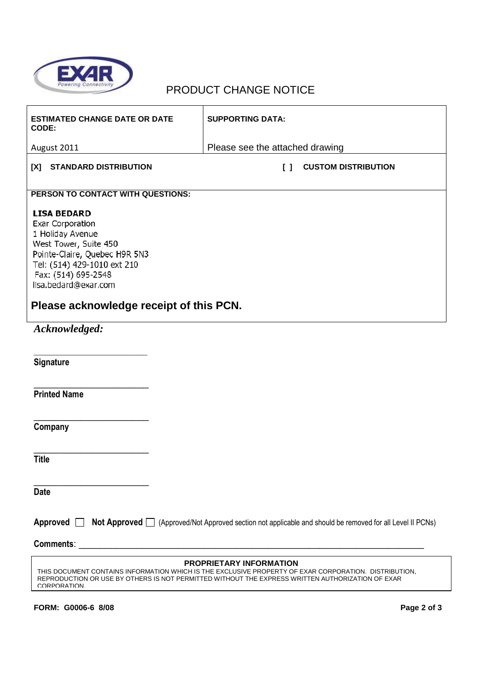

### PRODUCT CHANGE NOTICE

| <b>ESTIMATED CHANGE DATE OR DATE</b><br>CODE:                                                                                                                                                                                                                     | <b>SUPPORTING DATA:</b>                    |  |  |  |  |
|-------------------------------------------------------------------------------------------------------------------------------------------------------------------------------------------------------------------------------------------------------------------|--------------------------------------------|--|--|--|--|
| August 2011                                                                                                                                                                                                                                                       | Please see the attached drawing            |  |  |  |  |
| <b>STANDARD DISTRIBUTION</b><br>[X]                                                                                                                                                                                                                               | <b>CUSTOM DISTRIBUTION</b><br>$\mathsf{L}$ |  |  |  |  |
| PERSON TO CONTACT WITH QUESTIONS:                                                                                                                                                                                                                                 |                                            |  |  |  |  |
| <b>LISA BEDARD</b><br>Exar Corporation<br>1 Holiday Avenue<br>West Tower, Suite 450<br>Pointe-Claire, Quebec H9R 5N3<br>Tel: (514) 429-1010 ext 210<br>Fax: (514) 695-2548<br>lisa.bedard@exar.com<br>Please acknowledge receipt of this PCN.                     |                                            |  |  |  |  |
|                                                                                                                                                                                                                                                                   |                                            |  |  |  |  |
| Acknowledged:                                                                                                                                                                                                                                                     |                                            |  |  |  |  |
| Signature                                                                                                                                                                                                                                                         |                                            |  |  |  |  |
| <b>Printed Name</b>                                                                                                                                                                                                                                               |                                            |  |  |  |  |
| Company                                                                                                                                                                                                                                                           |                                            |  |  |  |  |
| <b>Title</b>                                                                                                                                                                                                                                                      |                                            |  |  |  |  |
| <b>Date</b>                                                                                                                                                                                                                                                       |                                            |  |  |  |  |
| Approved $\Box$<br>Not Approved □ (Approved/Not Approved section not applicable and should be removed for all Level II PCNs)<br>Comments:                                                                                                                         |                                            |  |  |  |  |
|                                                                                                                                                                                                                                                                   |                                            |  |  |  |  |
| <b>PROPRIETARY INFORMATION</b><br>THIS DOCUMENT CONTAINS INFORMATION WHICH IS THE EXCLUSIVE PROPERTY OF EXAR CORPORATION. DISTRIBUTION,<br>REPRODUCTION OR USE BY OTHERS IS NOT PERMITTED WITHOUT THE EXPRESS WRITTEN AUTHORIZATION OF EXAR<br><b>CORPORATION</b> |                                            |  |  |  |  |